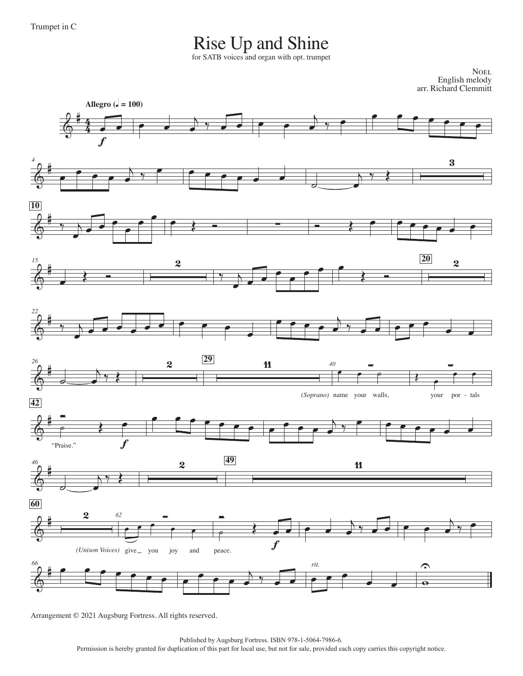## Rise Up and Shine

for SATB voices and organ with opt. trumpet

**NOEL** English melody arr. Richard Clemmitt



Arrangement © 2021 Augsburg Fortress. All rights reserved.